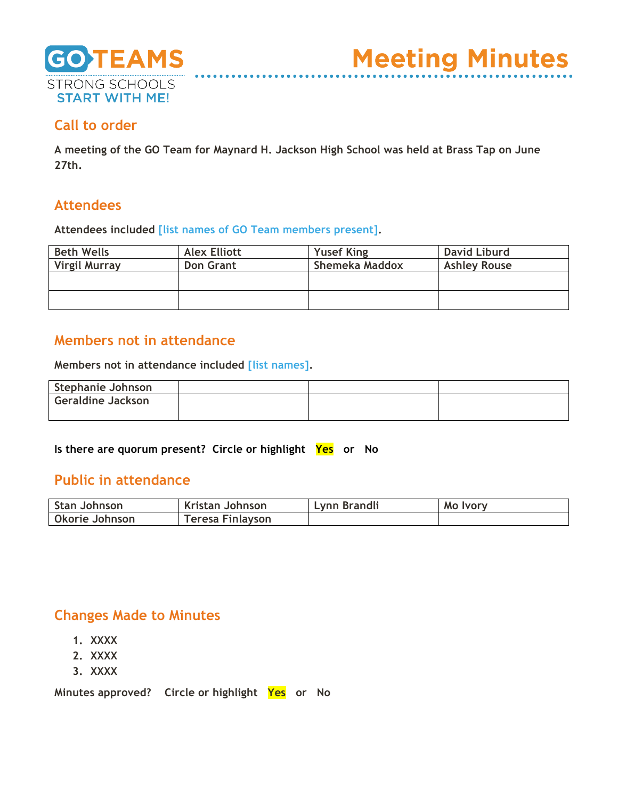

## **Call to order**

**A meeting of the GO Team for Maynard H. Jackson High School was held at Brass Tap on June 27th.**

### **Attendees**

**Attendees included [list names of GO Team members present].**

| <b>Beth Wells</b>    | <b>Alex Elliott</b> | <b>Yusef King</b> | <b>David Liburd</b> |
|----------------------|---------------------|-------------------|---------------------|
| <b>Virgil Murray</b> | <b>Don Grant</b>    | Shemeka Maddox    | <b>Ashley Rouse</b> |
|                      |                     |                   |                     |
|                      |                     |                   |                     |
|                      |                     |                   |                     |
|                      |                     |                   |                     |

### **Members not in attendance**

**Members not in attendance included [list names].**

| Stephanie Johnson        |  |  |
|--------------------------|--|--|
| <b>Geraldine Jackson</b> |  |  |
|                          |  |  |

**Is there are quorum present? Circle or highlight Yes or No**

### **Public in attendance**

| <b>Stan Johnson</b> | Kristan Johnson  | Lynn Brandli | Mo Ivory |
|---------------------|------------------|--------------|----------|
| Okorie Johnson      | Teresa Finlayson |              |          |

### **Changes Made to Minutes**

- **1. XXXX**
- **2. XXXX**
- **3. XXXX**

**Minutes approved? Circle or highlight Yes or No**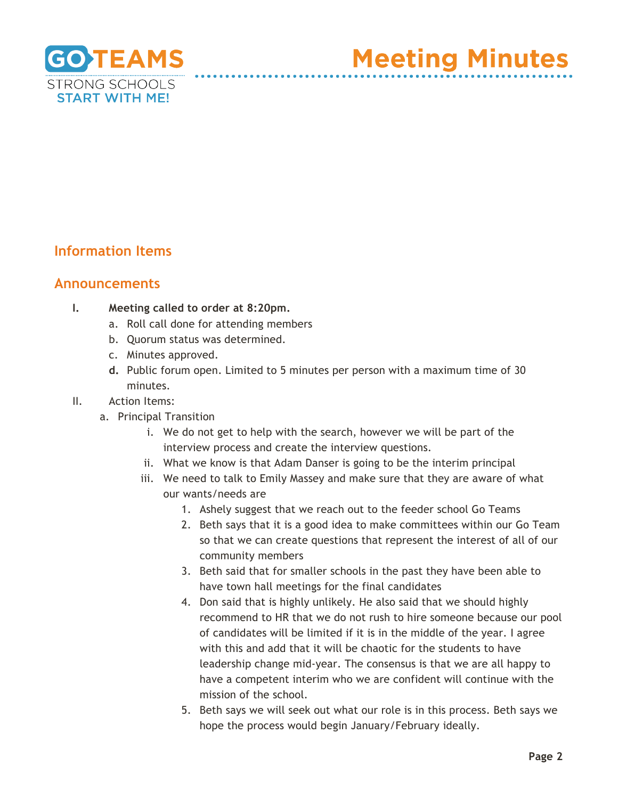

**Meeting Minutes** 

# **Information Items**

#### **Announcements**

- **I. Meeting called to order at 8:20pm.** 
	- a. Roll call done for attending members
	- b. Quorum status was determined.
	- c. Minutes approved.
	- **d.** Public forum open. Limited to 5 minutes per person with a maximum time of 30 minutes.
- II. Action Items:
	- a. Principal Transition
		- i. We do not get to help with the search, however we will be part of the interview process and create the interview questions.
		- ii. What we know is that Adam Danser is going to be the interim principal
		- iii. We need to talk to Emily Massey and make sure that they are aware of what our wants/needs are
			- 1. Ashely suggest that we reach out to the feeder school Go Teams
			- 2. Beth says that it is a good idea to make committees within our Go Team so that we can create questions that represent the interest of all of our community members
			- 3. Beth said that for smaller schools in the past they have been able to have town hall meetings for the final candidates
			- 4. Don said that is highly unlikely. He also said that we should highly recommend to HR that we do not rush to hire someone because our pool of candidates will be limited if it is in the middle of the year. I agree with this and add that it will be chaotic for the students to have leadership change mid-year. The consensus is that we are all happy to have a competent interim who we are confident will continue with the mission of the school.
			- 5. Beth says we will seek out what our role is in this process. Beth says we hope the process would begin January/February ideally.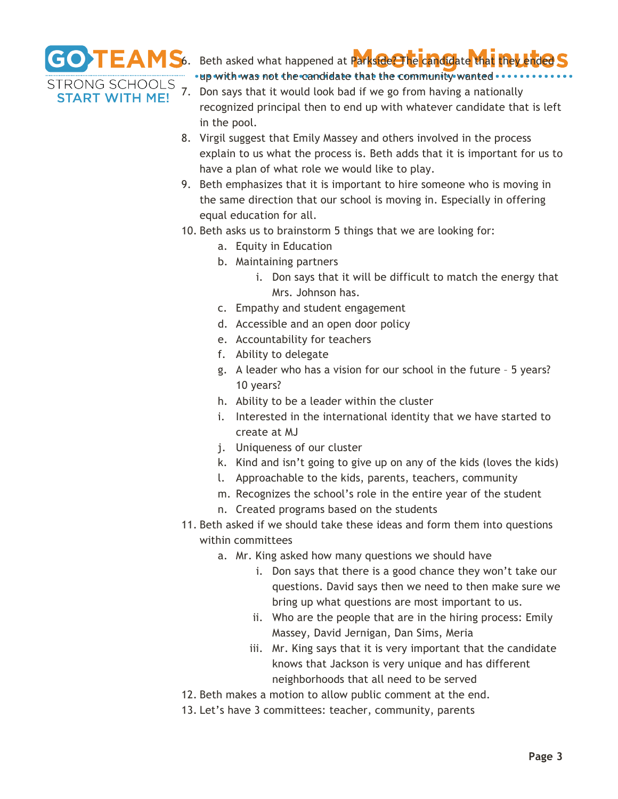

**START WITH ME!** 

**GO TEAMS**6. Beth asked what happened at Parkside the candidate that they ended . up with was not the candidate that the community wanted . . .

- 7. Don says that it would look bad if we go from having a nationally recognized principal then to end up with whatever candidate that is left in the pool.
- 8. Virgil suggest that Emily Massey and others involved in the process explain to us what the process is. Beth adds that it is important for us to have a plan of what role we would like to play.
- 9. Beth emphasizes that it is important to hire someone who is moving in the same direction that our school is moving in. Especially in offering equal education for all.
- 10. Beth asks us to brainstorm 5 things that we are looking for:
	- a. Equity in Education
	- b. Maintaining partners
		- i. Don says that it will be difficult to match the energy that Mrs. Johnson has.
	- c. Empathy and student engagement
	- d. Accessible and an open door policy
	- e. Accountability for teachers
	- f. Ability to delegate
	- g. A leader who has a vision for our school in the future 5 years? 10 years?
	- h. Ability to be a leader within the cluster
	- i. Interested in the international identity that we have started to create at MJ
	- j. Uniqueness of our cluster
	- k. Kind and isn't going to give up on any of the kids (loves the kids)
	- l. Approachable to the kids, parents, teachers, community
	- m. Recognizes the school's role in the entire year of the student
	- n. Created programs based on the students
- 11. Beth asked if we should take these ideas and form them into questions within committees
	- a. Mr. King asked how many questions we should have
		- i. Don says that there is a good chance they won't take our questions. David says then we need to then make sure we bring up what questions are most important to us.
		- ii. Who are the people that are in the hiring process: Emily Massey, David Jernigan, Dan Sims, Meria
		- iii. Mr. King says that it is very important that the candidate knows that Jackson is very unique and has different neighborhoods that all need to be served
- 12. Beth makes a motion to allow public comment at the end.
- 13. Let's have 3 committees: teacher, community, parents